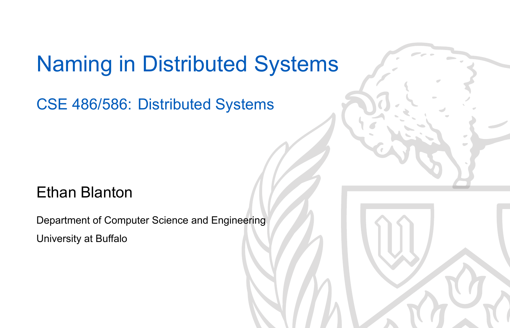### Naming in Distributed Systems

CSE 486/586: Distributed Systems

#### Ethan Blanton

Department of Computer Science and Engineering University at Buffalo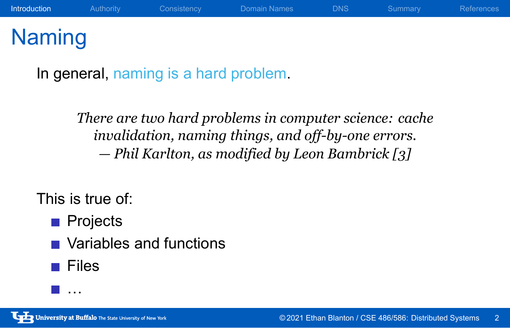# Naming

In general, naming is a hard problem.

*There are two hard problems in computer science: cache invalidation, naming things, and off-by-one errors. — Phil Karlton, as modified by Leon Bambrick [3]*

This is true of:

- **Projects**
- Variables and functions
- $\blacksquare$  Files
- …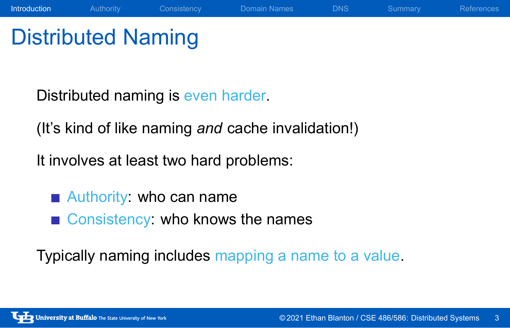# Distributed Naming

Distributed naming is even harder.

(It's kind of like naming *and* cache invalidation!)

Introduction Authority Consistency Domain Names DNS Summary References

It involves at least two hard problems:

- Authority: who can name
- Consistency: who knows the names

Typically naming includes mapping a name to a value.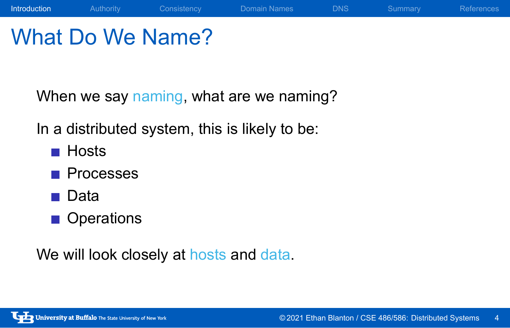# What Do We Name?

When we say naming, what are we naming?

**Introduction** Authority Consistency Domain Names DNS Summary References

In a distributed system, this is likely to be:

- **Hosts**
- **Processes**
- Data
- **Operations**

We will look closely at hosts and data.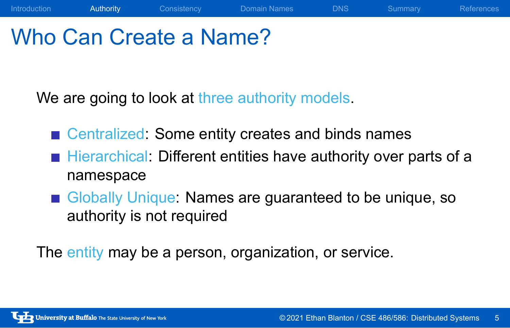### Who Can Create a Name?

We are going to look at three authority models.

- Centralized: Some entity creates and binds names
- Hierarchical: Different entities have authority over parts of a namespace

Introduction Authority Consistency Domain Names DNS Summary References

Globally Unique: Names are guaranteed to be unique, so authority is not required

The entity may be a person, organization, or service.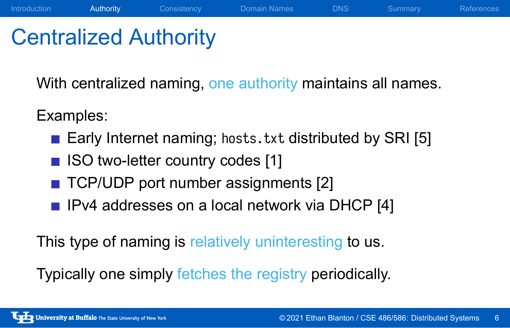### Centralized Authority

With centralized naming, one authority maintains all names.

Introduction Authority Consistency Domain Names DNS Summary References

Examples:

- Early Internet naming; hosts.txt distributed by SRI [5]
- **ISO two-letter country codes [1]**
- TCP/UDP port number assignments [2]
- **I** IPv4 addresses on a local network via DHCP [4]

This type of naming is relatively uninteresting to us.

Typically one simply fetches the registry periodically.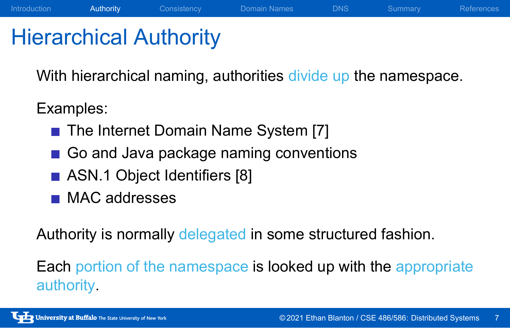#### Hierarchical Authority

With hierarchical naming, authorities divide up the namespace.

Introduction **Authority** Consistency Domain Names DNS Summary References

Examples:

- The Internet Domain Name System [7]
- Go and Java package naming conventions
- ASN.1 Object Identifiers [8]
- **MAC** addresses

Authority is normally delegated in some structured fashion.

Each portion of the namespace is looked up with the appropriate authority.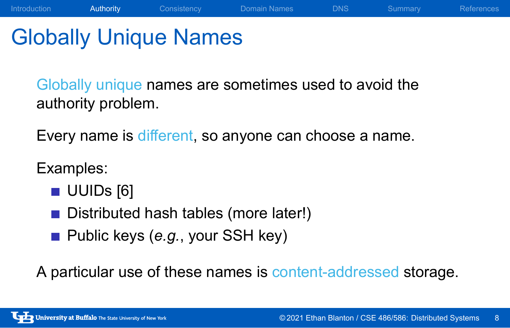### Globally Unique Names

Globally unique names are sometimes used to avoid the authority problem.

Introduction **Authority** Consistency Domain Names DNS Summary References

Every name is different, so anyone can choose a name.

Examples:

- UUIDs [6]
- Distributed hash tables (more later!)
- Public keys (e.g., your SSH key)

A particular use of these names is content-addressed storage.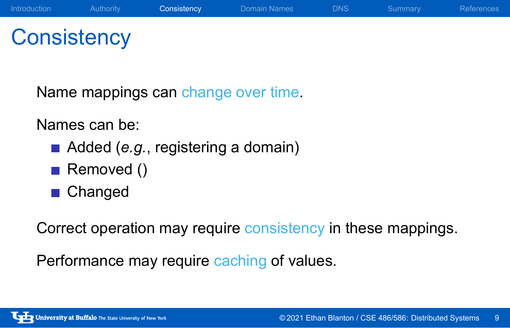### **Consistency**

Name mappings can change over time.

Names can be:

- Added (*e.g.*, registering a domain)
- Removed ()
- **Changed**

Correct operation may require consistency in these mappings.

Performance may require caching of values.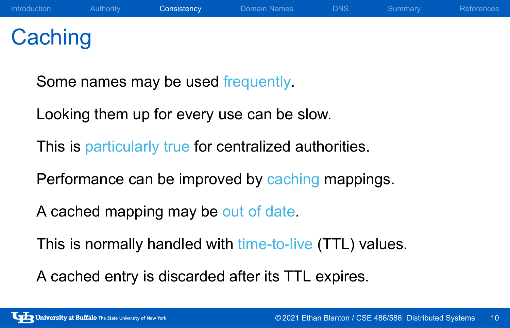# **Caching**

Some names may be used frequently.

Looking them up for every use can be slow.

This is particularly true for centralized authorities.

Performance can be improved by caching mappings.

A cached mapping may be out of date.

This is normally handled with time-to-live (TTL) values.

A cached entry is discarded after its TTL expires.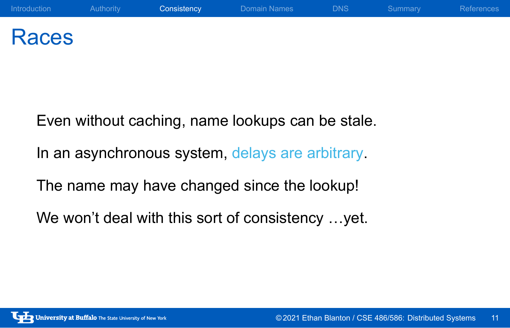#### Races

Even without caching, name lookups can be stale. In an asynchronous system, delays are arbitrary. The name may have changed since the lookup! We won't deal with this sort of consistency …yet.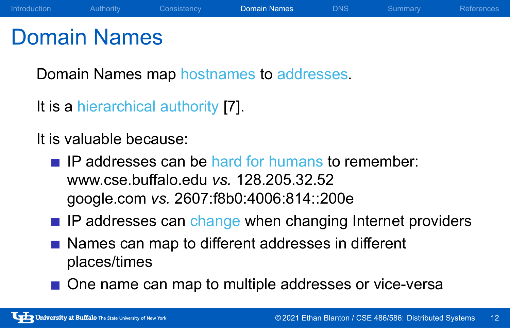#### Domain Names

Domain Names map hostnames to addresses.

It is a hierarchical authority [7].

It is valuable because:

- $\blacksquare$  IP addresses can be hard for humans to remember: www.cse.buffalo.edu *vs.* 128.205.32.52 google.com *vs.* 2607:f8b0:4006:814::200e
- **IP addresses can change when changing Internet providers**

Introduction Authority Consistency Domain Names DNS Summary References

- Names can map to different addresses in different places/times
- One name can map to multiple addresses or vice-versa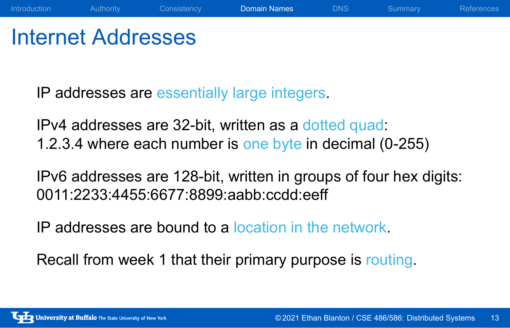#### Internet Addresses

IP addresses are essentially large integers.

IPv4 addresses are 32-bit, written as a dotted quad: 1.2.3.4 where each number is one byte in decimal (0-255)

IPv6 addresses are 128-bit, written in groups of four hex digits: 0011:2233:4455:6677:8899:aabb:ccdd:eeff

Introduction Authority Consistency Domain Names DNS Summary References

IP addresses are bound to a location in the network.

Recall from week 1 that their primary purpose is routing.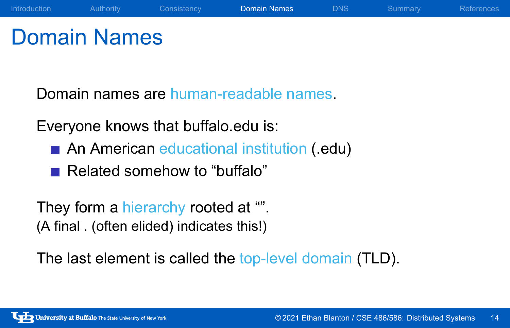### Domain Names

Domain names are human-readable names.

Everyone knows that buffalo.edu is:

An American educational institution (.edu)

Introduction Authority Consistency Domain Names DNS Summary References

Related somehow to "buffalo"

They form a hierarchy rooted at "". (A final . (often elided) indicates this!)

The last element is called the top-level domain (TLD).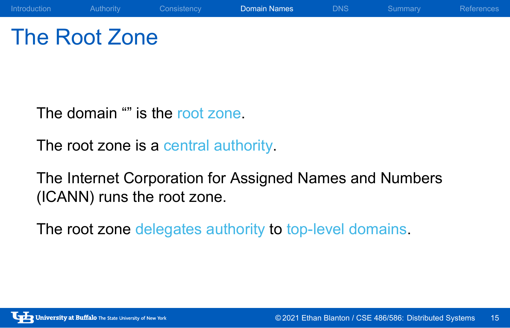### The Root Zone

The domain "" is the root zone.

The root zone is a central authority.

The Internet Corporation for Assigned Names and Numbers (ICANN) runs the root zone.

Introduction Authority Consistency **Domain Names** DNS Summary References

The root zone delegates authority to top-level domains.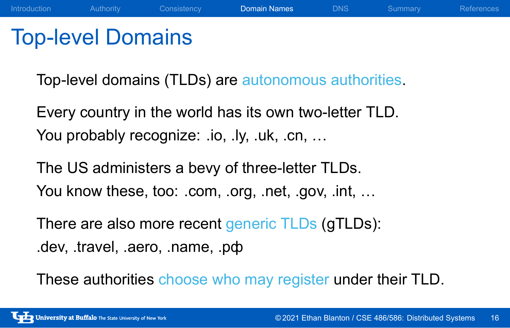#### Top-level Domains

Top-level domains (TLDs) are autonomous authorities.

Introduction Authority Consistency Domain Names DNS Summary References

Every country in the world has its own two-letter TLD. You probably recognize: .io, .ly, .uk, .cn, ...

The US administers a bevy of three-letter TLDs. You know these, too: .com, .org, .net, .gov, .int, ...

There are also more recent generic TLDs (gTLDs): .dev, .travel, .aero, .name, .рф

These authorities choose who may register under their TLD.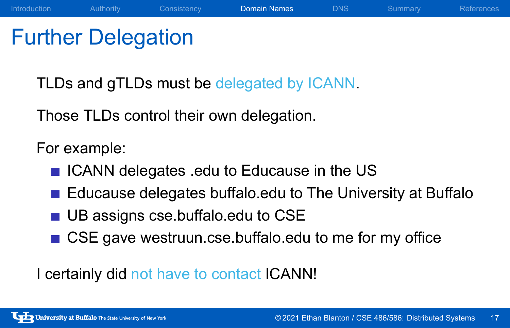### Further Delegation

TLDs and gTLDs must be delegated by ICANN.

Those TLDs control their own delegation.

For example:

- **In ICANN delegates .edu to Educause in the US**
- Educause delegates buffalo.edu to The University at Buffalo

Introduction Authority Consistency Domain Names DNS Summary References

- **UB** assigns cse.buffalo.edu to CSE
- CSE gave westruun.cse.buffalo.edu to me for my office

I certainly did not have to contact ICANN!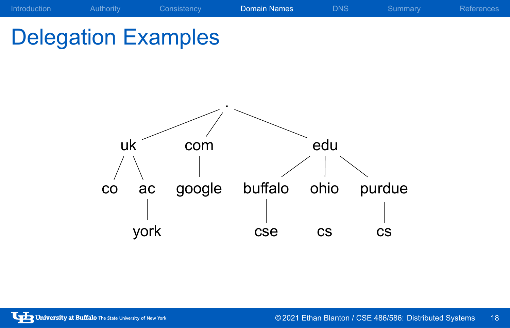### Introduction a Authority Consistency **Domain Names** DNS Summary References Delegation Examples

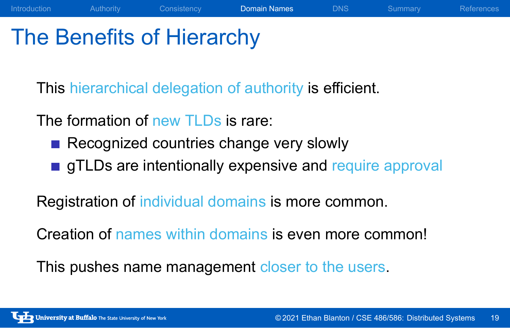### The Benefits of Hierarchy

This hierarchical delegation of authority is efficient.

The formation of new TLDs is rare:

- Recognized countries change very slowly
- **gTLDs are intentionally expensive and require approval**

Introduction Authority Consistency **Domain Names** DNS Summary References

Registration of individual domains is more common.

Creation of names within domains is even more common!

This pushes name management closer to the users.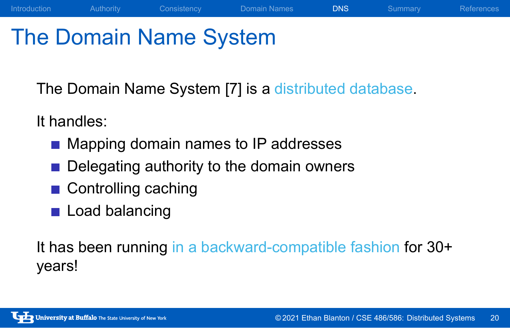# The Domain Name System

The Domain Name System [7] is a distributed database.

Introduction Authority Consistency Domain Names DNS Summary References

It handles:

- Mapping domain names to IP addresses
- Delegating authority to the domain owners
- Controlling caching
- **Load balancing**

It has been running in a backward-compatible fashion for 30+ years!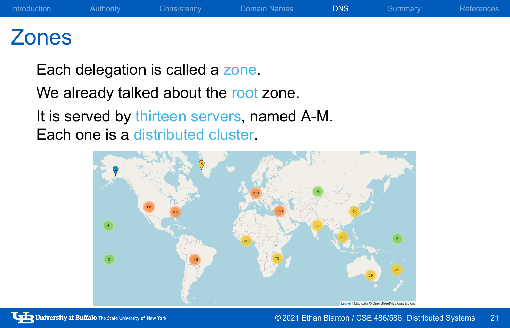## Zones

Each delegation is called a zone.

We already talked about the root zone.

It is served by thirteen servers, named A-M. Each one is a distributed cluster.

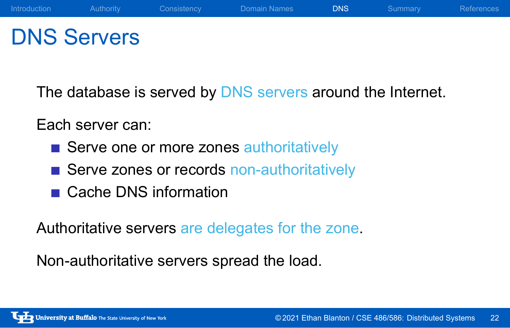### DNS Servers

The database is served by DNS servers around the Internet.

Each server can:

- Serve one or more zones authoritatively
- Serve zones or records non-authoritatively
- Cache DNS information

Authoritative servers are delegates for the zone.

Non-authoritative servers spread the load.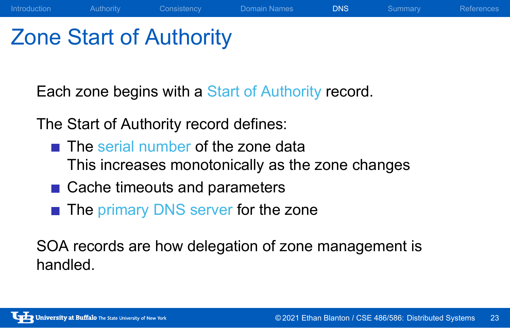## Zone Start of Authority

Each zone begins with a Start of Authority record.

The Start of Authority record defines:

 $\blacksquare$  The serial number of the zone data This increases monotonically as the zone changes

Introduction Authority Consistency Domain Names DNS Summary References

- Cache timeouts and parameters
- The primary DNS server for the zone

SOA records are how delegation of zone management is handled.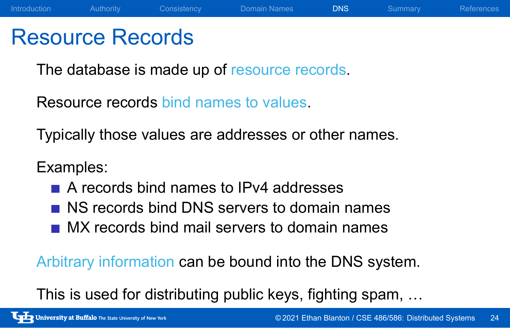#### Resource Records

The database is made up of resource records.

Resource records bind names to values.

Typically those values are addresses or other names.

#### Examples:

- A records bind names to IPv4 addresses
- NS records bind DNS servers to domain names
- MX records bind mail servers to domain names

Arbitrary information can be bound into the DNS system.

This is used for distributing public keys, fighting spam, …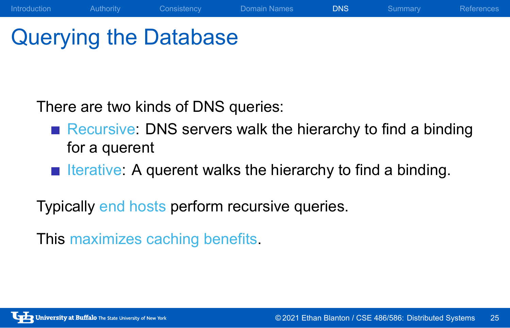# Querying the Database

There are two kinds of DNS queries:

Recursive: DNS servers walk the hierarchy to find a binding for a querent

Introduction Authority Consistency Domain Names DNS Summary References

Iterative: A querent walks the hierarchy to find a binding.

Typically end hosts perform recursive queries.

This maximizes caching benefits.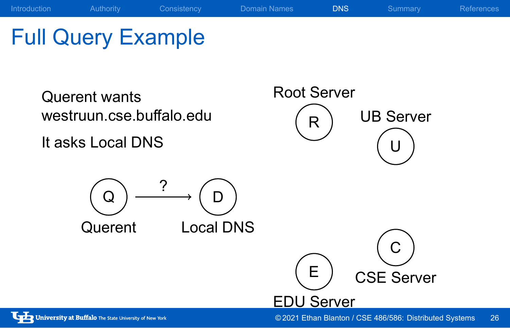

© 2021 Ethan Blanton / CSE 486/586: Distributed Systems 26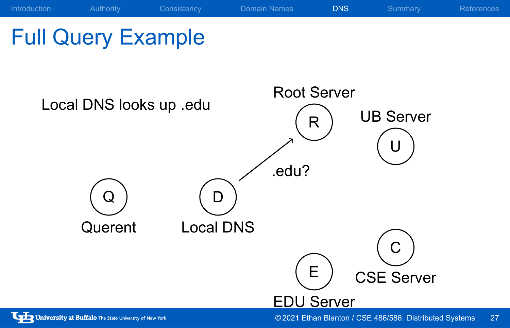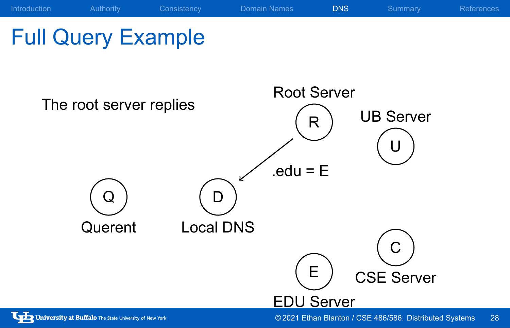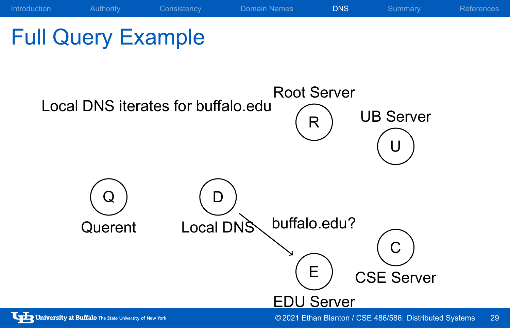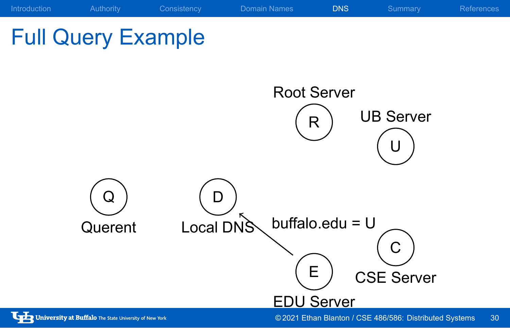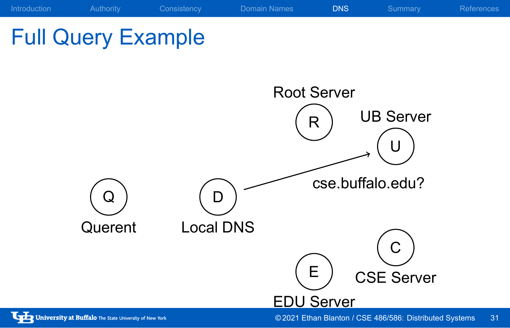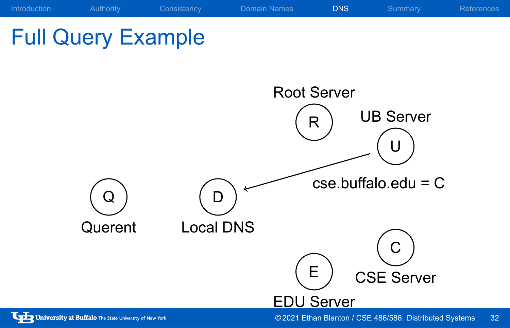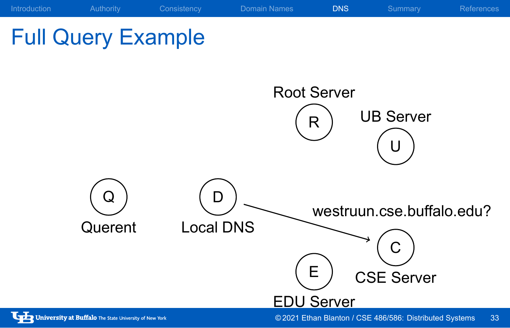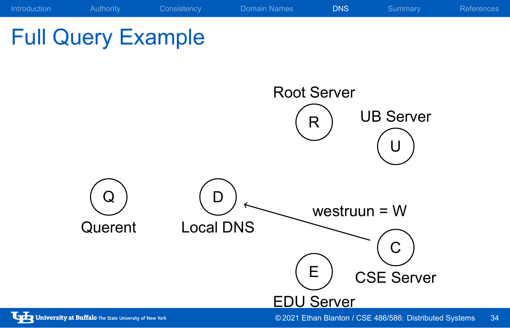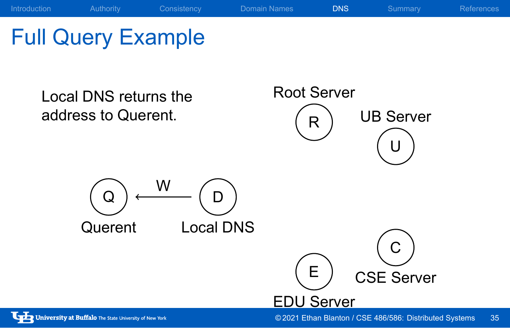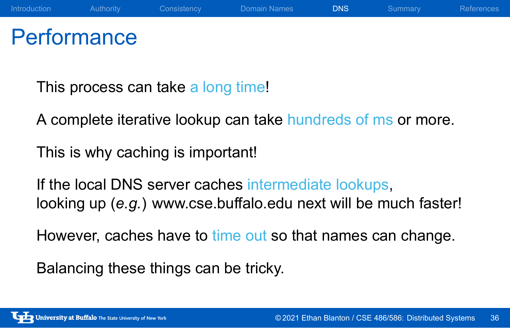# **Performance**

This process can take a long time!

A complete iterative lookup can take hundreds of ms or more.

Introduction Authority Consistency Domain Names DNS Summary References

This is why caching is important!

If the local DNS server caches intermediate lookups, looking up (*e.g.*) www.cse.buffalo.edu next will be much faster!

However, caches have to time out so that names can change.

Balancing these things can be tricky.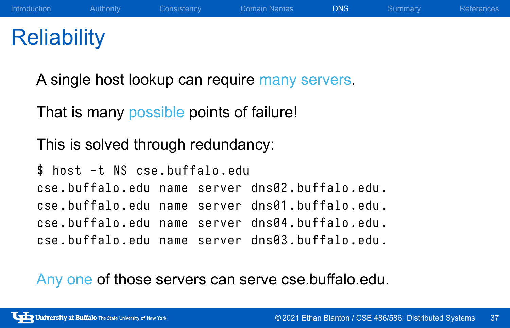### **Reliability**

A single host lookup can require many servers.

That is many possible points of failure!

This is solved through redundancy:

```
$ host -t NS cse . buffalo . edu
cse . buffalo . edu name server dns02 . buffalo . edu .
cse . buffalo . edu name server dns01 . buffalo . edu .
cse . buffalo . edu name server dns04 . buffalo . edu .
cse . buffalo . edu name server dns03 . buffalo . edu .
```
Any one of those servers can serve cse.buffalo.edu.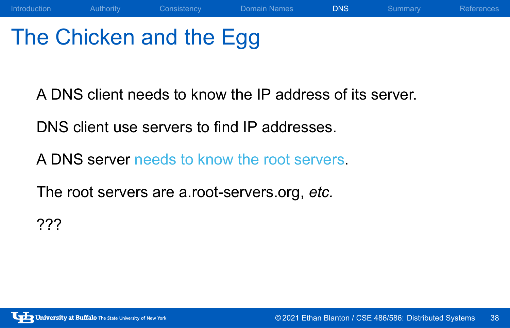# The Chicken and the Egg

A DNS client needs to know the IP address of its server.

Introduction Authority Consistency Domain Names DNS Summary References

DNS client use servers to find IP addresses.

A DNS server needs to know the root servers.

The root servers are a.root-servers.org, *etc.*

???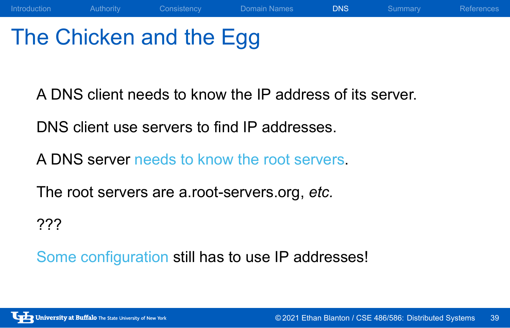# The Chicken and the Egg

A DNS client needs to know the IP address of its server.

Introduction Authority Consistency Domain Names DNS Summary References

DNS client use servers to find IP addresses.

A DNS server needs to know the root servers.

The root servers are a.root-servers.org, *etc.*

???

Some configuration still has to use IP addresses!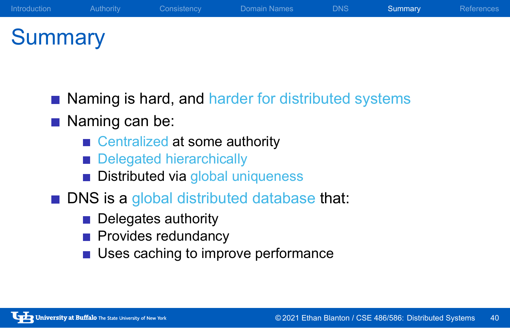# **Summary**

Naming is hard, and harder for distributed systems

Introduction Authority Consistency Domain Names DNS Summary References

- Naming can be:
	- Centralized at some authority
	- Delegated hierarchically
	- **Distributed via global uniqueness**
- **DNS** is a global distributed database that:
	- Delegates authority
	- **Provides redundancy**
	- **Uses caching to improve performance**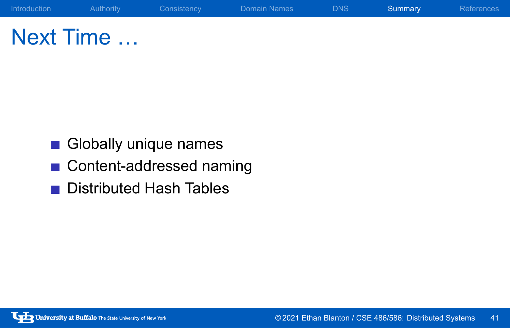# Next Time …

- Globally unique names
- Content-addressed naming

Introduction Authority Consistency Domain Names DNS Summary References

Distributed Hash Tables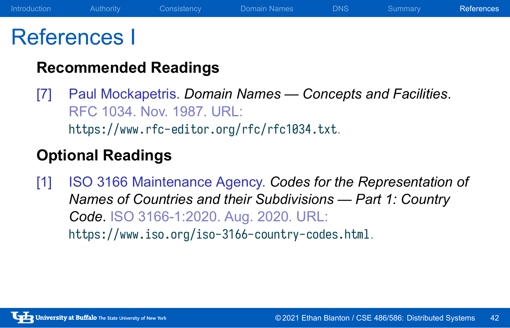#### References I

#### **Recommended Readings**

[7] Paul Mockapetris. *Domain Names — Concepts and Facilities*. RFC 1034. Nov. 1987. URL: https://www.rfc-editor.org/rfc/rfc1034.txt.

#### **Optional Readings**

[1] ISO 3166 Maintenance Agency. *Codes for the Representation of Names of Countries and their Subdivisions — Part 1: Country Code*. ISO 3166-1:2020. Aug. 2020. URL: https://www.iso.org/iso-3166-country-codes.html.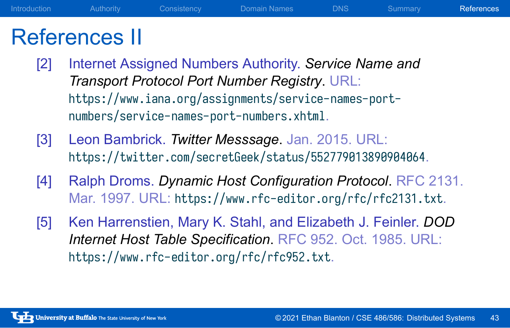## References II

[2] Internet Assigned Numbers Authority. *Service Name and Transport Protocol Port Number Registry*. URL: https://www.iana.org/assignments/service-names-portnumbers/service-names-port-numbers.xhtml.

Introduction Authority Consistency Domain Names DNS Summary References

- [3] Leon Bambrick. *Twitter Messsage*. Jan. 2015. URL: https://twitter.com/secretGeek/status/552779013890904064.
- [4] Ralph Droms. *Dynamic Host Configuration Protocol*. RFC 2131. Mar. 1997. URL: https://www.rfc-editor.org/rfc/rfc2131.txt.
- [5] Ken Harrenstien, Mary K. Stahl, and Elizabeth J. Feinler. *DOD Internet Host Table Specification*. RFC 952. Oct. 1985. URL: https://www.rfc-editor.org/rfc/rfc952.txt.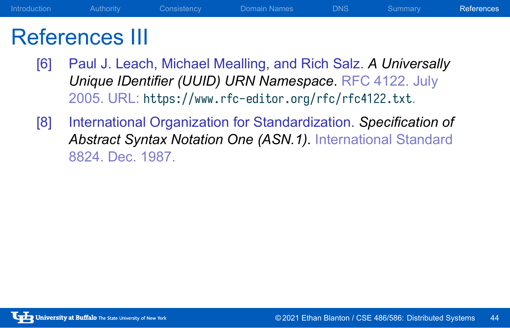#### References III

[6] Paul J. Leach, Michael Mealling, and Rich Salz. *A Universally Unique IDentifier (UUID) URN Namespace*. RFC 4122. July 2005. URL: https://www.rfc-editor.org/rfc/rfc4122.txt.

Introduction Authority Consistency Domain Names DNS Summary References

[8] International Organization for Standardization. *Specification of Abstract Syntax Notation One (ASN.1)*. International Standard 8824. Dec. 1987.